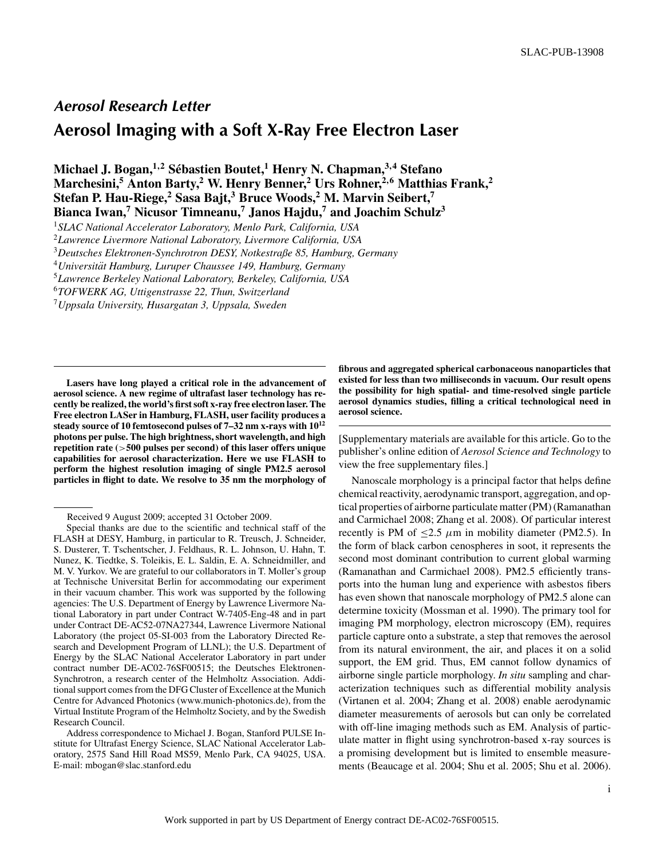## **Aerosol Research Letter**

## **Aerosol Imaging with a Soft X-Ray Free Electron Laser**

**Michael J. Bogan,1**,**<sup>2</sup> Sebastien Boutet, ´ <sup>1</sup> Henry N. Chapman,3**,**<sup>4</sup> Stefano Marchesini,<sup>5</sup> Anton Barty,<sup>2</sup> W. Henry Benner,<sup>2</sup> Urs Rohner,<sup>2,6</sup> Matthias Frank,<sup>2</sup> Stefan P. Hau-Riege, <sup>2</sup> Sasa Bajt, <sup>3</sup> Bruce Woods, <sup>2</sup> M. Marvin Seibert,<sup>7</sup> Bianca Iwan,7 Nicusor Timneanu,7 Janos Hajdu,7 and Joachim Schulz3**

<sup>1</sup>*SLAC National Accelerator Laboratory, Menlo Park, California, USA*

<sup>2</sup>*Lawrence Livermore National Laboratory, Livermore California, USA*

<sup>3</sup>*Deutsches Elektronen-Synchrotron DESY, Notkestraße 85, Hamburg, Germany*

<sup>4</sup>*Universitat Hamburg, Luruper Chaussee 149, Hamburg, Germany ¨*

<sup>5</sup>*Lawrence Berkeley National Laboratory, Berkeley, California, USA*

<sup>6</sup>*TOFWERK AG, Uttigenstrasse 22, Thun, Switzerland*

<sup>7</sup>*Uppsala University, Husargatan 3, Uppsala, Sweden*

**Lasers have long played a critical role in the advancement of aerosol science. A new regime of ultrafast laser technology has recently be realized, the world's first soft x-ray free electron laser. The Free electron LASer in Hamburg, FLASH, user facility produces a steady source of 10 femtosecond pulses of 7–32 nm x-rays with 1012 photons per pulse. The high brightness, short wavelength, and high repetition rate (**>**500 pulses per second) of this laser offers unique capabilities for aerosol characterization. Here we use FLASH to perform the highest resolution imaging of single PM2.5 aerosol particles in flight to date. We resolve to 35 nm the morphology of** **fibrous and aggregated spherical carbonaceous nanoparticles that existed for less than two milliseconds in vacuum. Our result opens the possibility for high spatial- and time-resolved single particle aerosol dynamics studies, filling a critical technological need in aerosol science.**

[Supplementary materials are available for this article. Go to the publisher's online edition of *Aerosol Science and Technology* to view the free supplementary files.]

Nanoscale morphology is a principal factor that helps define chemical reactivity, aerodynamic transport, aggregation, and optical properties of airborne particulate matter (PM) (Ramanathan and Carmichael 2008; Zhang et al. 2008). Of particular interest recently is PM of  $\leq$ 2.5  $\mu$ m in mobility diameter (PM2.5). In the form of black carbon cenospheres in soot, it represents the second most dominant contribution to current global warming (Ramanathan and Carmichael 2008). PM2.5 efficiently transports into the human lung and experience with asbestos fibers has even shown that nanoscale morphology of PM2.5 alone can determine toxicity (Mossman et al. 1990). The primary tool for imaging PM morphology, electron microscopy (EM), requires particle capture onto a substrate, a step that removes the aerosol from its natural environment, the air, and places it on a solid support, the EM grid. Thus, EM cannot follow dynamics of airborne single particle morphology. *In situ* sampling and characterization techniques such as differential mobility analysis (Virtanen et al. 2004; Zhang et al. 2008) enable aerodynamic diameter measurements of aerosols but can only be correlated with off-line imaging methods such as EM. Analysis of particulate matter in flight using synchrotron-based x-ray sources is a promising development but is limited to ensemble measurements (Beaucage et al. 2004; Shu et al. 2005; Shu et al. 2006).

Received 9 August 2009; accepted 31 October 2009.

Special thanks are due to the scientific and technical staff of the FLASH at DESY, Hamburg, in particular to R. Treusch, J. Schneider, S. Dusterer, T. Tschentscher, J. Feldhaus, R. L. Johnson, U. Hahn, T. Nunez, K. Tiedtke, S. Toleikis, E. L. Saldin, E. A. Schneidmiller, and M. V. Yurkov. We are grateful to our collaborators in T. Moller's group at Technische Universitat Berlin for accommodating our experiment in their vacuum chamber. This work was supported by the following agencies: The U.S. Department of Energy by Lawrence Livermore National Laboratory in part under Contract W-7405-Eng-48 and in part under Contract DE-AC52-07NA27344, Lawrence Livermore National Laboratory (the project 05-SI-003 from the Laboratory Directed Research and Development Program of LLNL); the U.S. Department of Energy by the SLAC National Accelerator Laboratory in part under contract number DE-AC02-76SF00515; the Deutsches Elektronen-Synchrotron, a research center of the Helmholtz Association. Additional support comes from the DFG Cluster of Excellence at the Munich Centre for Advanced Photonics (www.munich-photonics.de), from the Virtual Institute Program of the Helmholtz Society, and by the Swedish Research Council.

Address correspondence to Michael J. Bogan, Stanford PULSE Institute for Ultrafast Energy Science, SLAC National Accelerator Laboratory, 2575 Sand Hill Road MS59, Menlo Park, CA 94025, USA. E-mail: mbogan@slac.stanford.edu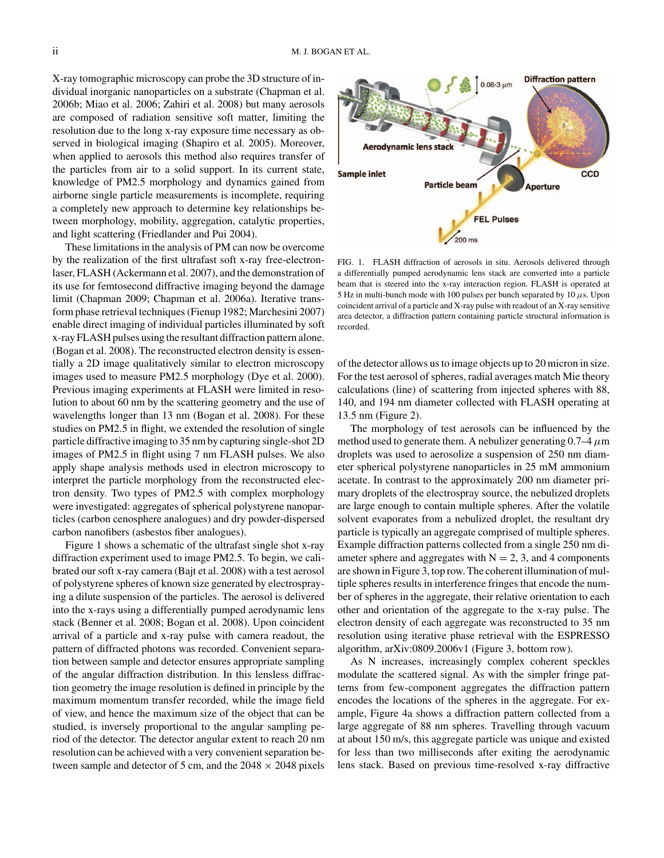X-ray tomographic microscopy can probe the 3D structure of individual inorganic nanoparticles on a substrate (Chapman et al. 2006b; Miao et al. 2006; Zahiri et al. 2008) but many aerosols are composed of radiation sensitive soft matter, limiting the resolution due to the long x-ray exposure time necessary as observed in biological imaging (Shapiro et al. 2005). Moreover, when applied to aerosols this method also requires transfer of the particles from air to a solid support. In its current state, knowledge of PM2.5 morphology and dynamics gained from airborne single particle measurements is incomplete, requiring a completely new approach to determine key relationships between morphology, mobility, aggregation, catalytic properties, and light scattering (Friedlander and Pui 2004).

These limitations in the analysis of PM can now be overcome by the realization of the first ultrafast soft x-ray free-electronlaser, FLASH (Ackermann et al. 2007), and the demonstration of its use for femtosecond diffractive imaging beyond the damage limit (Chapman 2009; Chapman et al. 2006a). Iterative transform phase retrieval techniques (Fienup 1982; Marchesini 2007) enable direct imaging of individual particles illuminated by soft x-ray FLASH pulses using the resultant diffraction pattern alone. (Bogan et al. 2008). The reconstructed electron density is essentially a 2D image qualitatively similar to electron microscopy images used to measure PM2.5 morphology (Dye et al. 2000). Previous imaging experiments at FLASH were limited in resolution to about 60 nm by the scattering geometry and the use of wavelengths longer than 13 nm (Bogan et al. 2008). For these studies on PM2.5 in flight, we extended the resolution of single particle diffractive imaging to 35 nm by capturing single-shot 2D images of PM2.5 in flight using 7 nm FLASH pulses. We also apply shape analysis methods used in electron microscopy to interpret the particle morphology from the reconstructed electron density. Two types of PM2.5 with complex morphology were investigated: aggregates of spherical polystyrene nanoparticles (carbon cenosphere analogues) and dry powder-dispersed carbon nanofibers (asbestos fiber analogues).

Figure 1 shows a schematic of the ultrafast single shot x-ray diffraction experiment used to image PM2.5. To begin, we calibrated our soft x-ray camera (Bajt et al. 2008) with a test aerosol of polystyrene spheres of known size generated by electrospraying a dilute suspension of the particles. The aerosol is delivered into the x-rays using a differentially pumped aerodynamic lens stack (Benner et al. 2008; Bogan et al. 2008). Upon coincident arrival of a particle and x-ray pulse with camera readout, the pattern of diffracted photons was recorded. Convenient separation between sample and detector ensures appropriate sampling of the angular diffraction distribution. In this lensless diffraction geometry the image resolution is defined in principle by the maximum momentum transfer recorded, while the image field of view, and hence the maximum size of the object that can be studied, is inversely proportional to the angular sampling period of the detector. The detector angular extent to reach 20 nm resolution can be achieved with a very convenient separation between sample and detector of 5 cm, and the  $2048 \times 2048$  pixels



FIG. 1. FLASH diffraction of aerosols in situ. Aerosols delivered through a differentially pumped aerodynamic lens stack are converted into a particle beam that is steered into the x-ray interaction region. FLASH is operated at 5 Hz in multi-bunch mode with 100 pulses per bunch separated by 10  $\mu$ s. Upon coincident arrival of a particle and X-ray pulse with readout of an X-ray sensitive area detector, a diffraction pattern containing particle structural information is recorded.

of the detector allows us to image objects up to 20 micron in size. For the test aerosol of spheres, radial averages match Mie theory calculations (line) of scattering from injected spheres with 88, 140, and 194 nm diameter collected with FLASH operating at 13.5 nm (Figure 2).

The morphology of test aerosols can be influenced by the method used to generate them. A nebulizer generating  $0.7-4 \mu m$ droplets was used to aerosolize a suspension of 250 nm diameter spherical polystyrene nanoparticles in 25 mM ammonium acetate. In contrast to the approximately 200 nm diameter primary droplets of the electrospray source, the nebulized droplets are large enough to contain multiple spheres. After the volatile solvent evaporates from a nebulized droplet, the resultant dry particle is typically an aggregate comprised of multiple spheres. Example diffraction patterns collected from a single 250 nm diameter sphere and aggregates with  $N = 2$ , 3, and 4 components are shown in Figure 3, top row. The coherent illumination of multiple spheres results in interference fringes that encode the number of spheres in the aggregate, their relative orientation to each other and orientation of the aggregate to the x-ray pulse. The electron density of each aggregate was reconstructed to 35 nm resolution using iterative phase retrieval with the ESPRESSO algorithm, arXiv:0809.2006v1 (Figure 3, bottom row).

As N increases, increasingly complex coherent speckles modulate the scattered signal. As with the simpler fringe patterns from few-component aggregates the diffraction pattern encodes the locations of the spheres in the aggregate. For example, Figure 4a shows a diffraction pattern collected from a large aggregate of 88 nm spheres. Travelling through vacuum at about 150 m/s, this aggregate particle was unique and existed for less than two milliseconds after exiting the aerodynamic lens stack. Based on previous time-resolved x-ray diffractive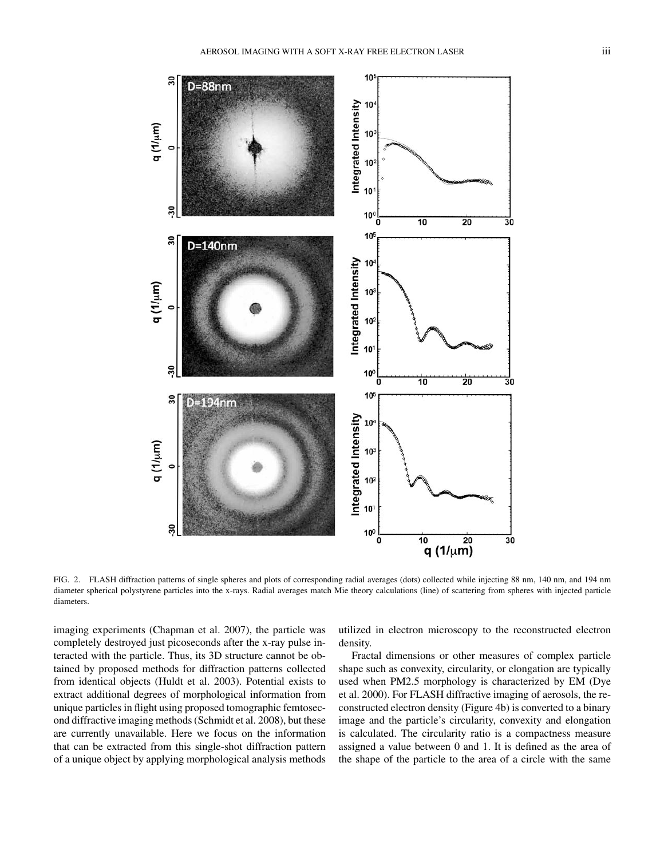

FIG. 2. FLASH diffraction patterns of single spheres and plots of corresponding radial averages (dots) collected while injecting 88 nm, 140 nm, and 194 nm diameter spherical polystyrene particles into the x-rays. Radial averages match Mie theory calculations (line) of scattering from spheres with injected particle diameters.

imaging experiments (Chapman et al. 2007), the particle was completely destroyed just picoseconds after the x-ray pulse interacted with the particle. Thus, its 3D structure cannot be obtained by proposed methods for diffraction patterns collected from identical objects (Huldt et al. 2003). Potential exists to extract additional degrees of morphological information from unique particles in flight using proposed tomographic femtosecond diffractive imaging methods (Schmidt et al. 2008), but these are currently unavailable. Here we focus on the information that can be extracted from this single-shot diffraction pattern of a unique object by applying morphological analysis methods

utilized in electron microscopy to the reconstructed electron density.

Fractal dimensions or other measures of complex particle shape such as convexity, circularity, or elongation are typically used when PM2.5 morphology is characterized by EM (Dye et al. 2000). For FLASH diffractive imaging of aerosols, the reconstructed electron density (Figure 4b) is converted to a binary image and the particle's circularity, convexity and elongation is calculated. The circularity ratio is a compactness measure assigned a value between 0 and 1. It is defined as the area of the shape of the particle to the area of a circle with the same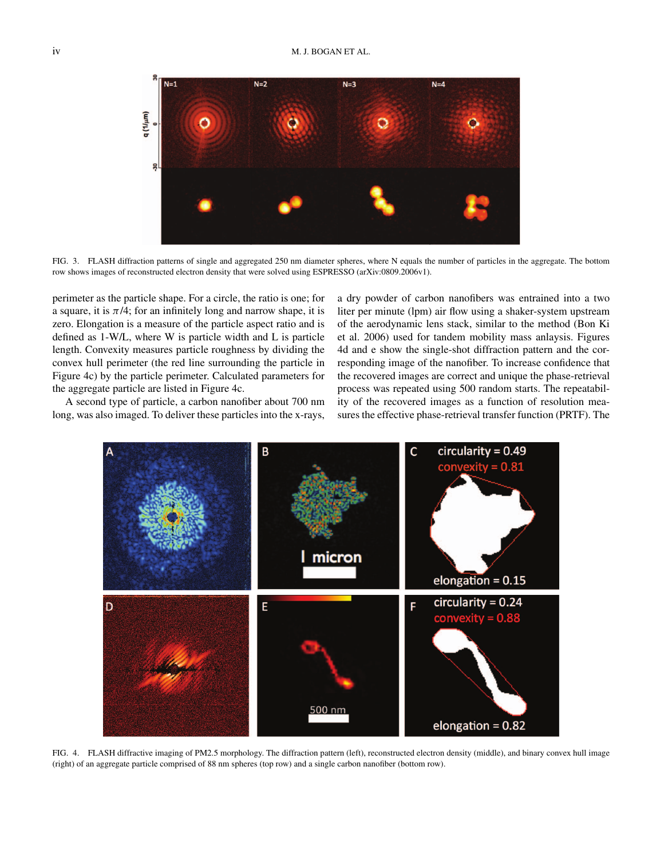

FIG. 3. FLASH diffraction patterns of single and aggregated 250 nm diameter spheres, where N equals the number of particles in the aggregate. The bottom row shows images of reconstructed electron density that were solved using ESPRESSO (arXiv:0809.2006v1).

perimeter as the particle shape. For a circle, the ratio is one; for a square, it is  $\pi/4$ ; for an infinitely long and narrow shape, it is zero. Elongation is a measure of the particle aspect ratio and is defined as 1-W/L, where W is particle width and L is particle length. Convexity measures particle roughness by dividing the convex hull perimeter (the red line surrounding the particle in Figure 4c) by the particle perimeter. Calculated parameters for the aggregate particle are listed in Figure 4c.

A second type of particle, a carbon nanofiber about 700 nm long, was also imaged. To deliver these particles into the x-rays, a dry powder of carbon nanofibers was entrained into a two liter per minute (lpm) air flow using a shaker-system upstream of the aerodynamic lens stack, similar to the method (Bon Ki et al. 2006) used for tandem mobility mass anlaysis. Figures 4d and e show the single-shot diffraction pattern and the corresponding image of the nanofiber. To increase confidence that the recovered images are correct and unique the phase-retrieval process was repeated using 500 random starts. The repeatability of the recovered images as a function of resolution measures the effective phase-retrieval transfer function (PRTF). The



FIG. 4. FLASH diffractive imaging of PM2.5 morphology. The diffraction pattern (left), reconstructed electron density (middle), and binary convex hull image (right) of an aggregate particle comprised of 88 nm spheres (top row) and a single carbon nanofiber (bottom row).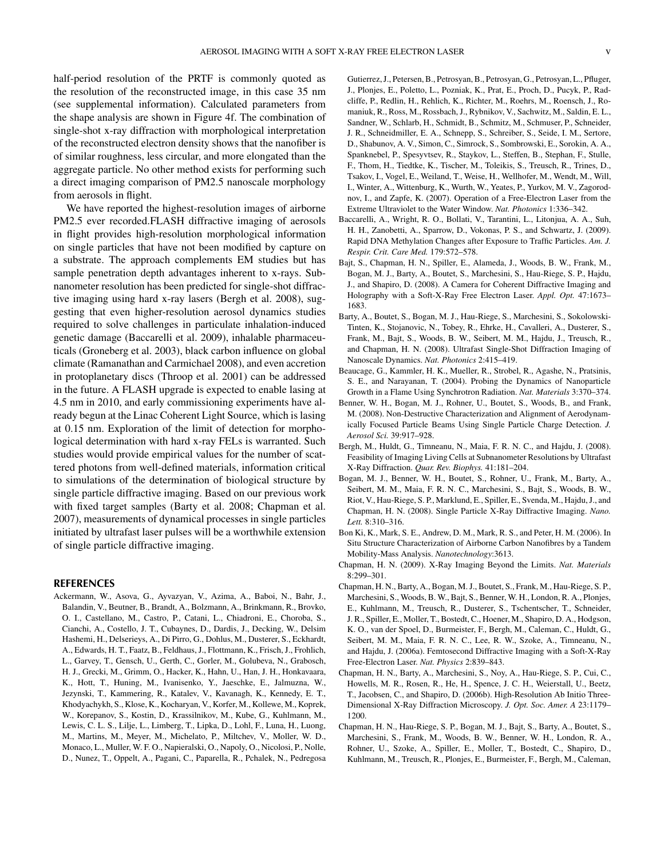half-period resolution of the PRTF is commonly quoted as the resolution of the reconstructed image, in this case 35 nm (see supplemental information). Calculated parameters from the shape analysis are shown in Figure 4f. The combination of single-shot x-ray diffraction with morphological interpretation of the reconstructed electron density shows that the nanofiber is of similar roughness, less circular, and more elongated than the aggregate particle. No other method exists for performing such a direct imaging comparison of PM2.5 nanoscale morphology from aerosols in flight.

We have reported the highest-resolution images of airborne PM2.5 ever recorded.FLASH diffractive imaging of aerosols in flight provides high-resolution morphological information on single particles that have not been modified by capture on a substrate. The approach complements EM studies but has sample penetration depth advantages inherent to x-rays. Subnanometer resolution has been predicted for single-shot diffractive imaging using hard x-ray lasers (Bergh et al. 2008), suggesting that even higher-resolution aerosol dynamics studies required to solve challenges in particulate inhalation-induced genetic damage (Baccarelli et al. 2009), inhalable pharmaceuticals (Groneberg et al. 2003), black carbon influence on global climate (Ramanathan and Carmichael 2008), and even accretion in protoplanetary discs (Throop et al. 2001) can be addressed in the future. A FLASH upgrade is expected to enable lasing at 4.5 nm in 2010, and early commissioning experiments have already begun at the Linac Coherent Light Source, which is lasing at 0.15 nm. Exploration of the limit of detection for morphological determination with hard x-ray FELs is warranted. Such studies would provide empirical values for the number of scattered photons from well-defined materials, information critical to simulations of the determination of biological structure by single particle diffractive imaging. Based on our previous work with fixed target samples (Barty et al. 2008; Chapman et al. 2007), measurements of dynamical processes in single particles initiated by ultrafast laser pulses will be a worthwhile extension of single particle diffractive imaging.

## **REFERENCES**

Ackermann, W., Asova, G., Ayvazyan, V., Azima, A., Baboi, N., Bahr, J., Balandin, V., Beutner, B., Brandt, A., Bolzmann, A., Brinkmann, R., Brovko, O. I., Castellano, M., Castro, P., Catani, L., Chiadroni, E., Choroba, S., Cianchi, A., Costello, J. T., Cubaynes, D., Dardis, J., Decking, W., Delsim Hashemi, H., Delserieys, A., Di Pirro, G., Dohlus, M., Dusterer, S., Eckhardt, A., Edwards, H. T., Faatz, B., Feldhaus, J., Flottmann, K., Frisch, J., Frohlich, L., Garvey, T., Gensch, U., Gerth, C., Gorler, M., Golubeva, N., Grabosch, H. J., Grecki, M., Grimm, O., Hacker, K., Hahn, U., Han, J. H., Honkavaara, K., Hott, T., Huning, M., Ivanisenko, Y., Jaeschke, E., Jalmuzna, W., Jezynski, T., Kammering, R., Katalev, V., Kavanagh, K., Kennedy, E. T., Khodyachykh, S., Klose, K., Kocharyan, V., Korfer, M., Kollewe, M., Koprek, W., Korepanov, S., Kostin, D., Krassilnikov, M., Kube, G., Kuhlmann, M., Lewis, C. L. S., Lilje, L., Limberg, T., Lipka, D., Lohl, F., Luna, H., Luong, M., Martins, M., Meyer, M., Michelato, P., Miltchev, V., Moller, W. D., Monaco, L., Muller, W. F. O., Napieralski, O., Napoly, O., Nicolosi, P., Nolle, D., Nunez, T., Oppelt, A., Pagani, C., Paparella, R., Pchalek, N., Pedregosa

Gutierrez, J., Petersen, B., Petrosyan, B., Petrosyan, G., Petrosyan, L., Pfluger, J., Plonjes, E., Poletto, L., Pozniak, K., Prat, E., Proch, D., Pucyk, P., Radcliffe, P., Redlin, H., Rehlich, K., Richter, M., Roehrs, M., Roensch, J., Romaniuk, R., Ross, M., Rossbach, J., Rybnikov, V., Sachwitz, M., Saldin, E. L., Sandner, W., Schlarb, H., Schmidt, B., Schmitz, M., Schmuser, P., Schneider, J. R., Schneidmiller, E. A., Schnepp, S., Schreiber, S., Seide, I. M., Sertore, D., Shabunov, A. V., Simon, C., Simrock, S., Sombrowski, E., Sorokin, A. A., Spanknebel, P., Spesyvtsev, R., Staykov, L., Steffen, B., Stephan, F., Stulle, F., Thom, H., Tiedtke, K., Tischer, M., Toleikis, S., Treusch, R., Trines, D., Tsakov, I., Vogel, E., Weiland, T., Weise, H., Wellhofer, M., Wendt, M., Will, I., Winter, A., Wittenburg, K., Wurth, W., Yeates, P., Yurkov, M. V., Zagorodnov, I., and Zapfe, K. (2007). Operation of a Free-Electron Laser from the Extreme Ultraviolet to the Water Window. *Nat. Photonics* 1:336–342.

- Baccarelli, A., Wright, R. O., Bollati, V., Tarantini, L., Litonjua, A. A., Suh, H. H., Zanobetti, A., Sparrow, D., Vokonas, P. S., and Schwartz, J. (2009). Rapid DNA Methylation Changes after Exposure to Traffic Particles. *Am. J. Respir. Crit. Care Med.* 179:572–578.
- Bajt, S., Chapman, H. N., Spiller, E., Alameda, J., Woods, B. W., Frank, M., Bogan, M. J., Barty, A., Boutet, S., Marchesini, S., Hau-Riege, S. P., Hajdu, J., and Shapiro, D. (2008). A Camera for Coherent Diffractive Imaging and Holography with a Soft-X-Ray Free Electron Laser. *Appl. Opt.* 47:1673– 1683.
- Barty, A., Boutet, S., Bogan, M. J., Hau-Riege, S., Marchesini, S., Sokolowski-Tinten, K., Stojanovic, N., Tobey, R., Ehrke, H., Cavalleri, A., Dusterer, S., Frank, M., Bajt, S., Woods, B. W., Seibert, M. M., Hajdu, J., Treusch, R., and Chapman, H. N. (2008). Ultrafast Single-Shot Diffraction Imaging of Nanoscale Dynamics. *Nat. Photonics* 2:415–419.
- Beaucage, G., Kammler, H. K., Mueller, R., Strobel, R., Agashe, N., Pratsinis, S. E., and Narayanan, T. (2004). Probing the Dynamics of Nanoparticle Growth in a Flame Using Synchrotron Radiation. *Nat. Materials* 3:370–374.
- Benner, W. H., Bogan, M. J., Rohner, U., Boutet, S., Woods, B., and Frank, M. (2008). Non-Destructive Characterization and Alignment of Aerodynamically Focused Particle Beams Using Single Particle Charge Detection. *J. Aerosol Sci.* 39:917–928.
- Bergh, M., Huldt, G., Timneanu, N., Maia, F. R. N. C., and Hajdu, J. (2008). Feasibility of Imaging Living Cells at Subnanometer Resolutions by Ultrafast X-Ray Diffraction. *Quar. Rev. Biophys.* 41:181–204.
- Bogan, M. J., Benner, W. H., Boutet, S., Rohner, U., Frank, M., Barty, A., Seibert, M. M., Maia, F. R. N. C., Marchesini, S., Bajt, S., Woods, B. W., Riot, V., Hau-Riege, S. P., Marklund, E., Spiller, E., Svenda, M., Hajdu, J., and Chapman, H. N. (2008). Single Particle X-Ray Diffractive Imaging. *Nano. Lett.* 8:310–316.
- Bon Ki, K., Mark, S. E., Andrew, D. M., Mark, R. S., and Peter, H. M. (2006). In Situ Structure Characterization of Airborne Carbon Nanofibres by a Tandem Mobility-Mass Analysis. *Nanotechnology*:3613.
- Chapman, H. N. (2009). X-Ray Imaging Beyond the Limits. *Nat. Materials* 8:299–301.
- Chapman, H. N., Barty, A., Bogan, M. J., Boutet, S., Frank, M., Hau-Riege, S. P., Marchesini, S., Woods, B. W., Bajt, S., Benner, W. H., London, R. A., Plonjes, E., Kuhlmann, M., Treusch, R., Dusterer, S., Tschentscher, T., Schneider, J. R., Spiller, E., Moller, T., Bostedt, C., Hoener, M., Shapiro, D. A., Hodgson, K. O., van der Spoel, D., Burmeister, F., Bergh, M., Caleman, C., Huldt, G., Seibert, M. M., Maia, F. R. N. C., Lee, R. W., Szoke, A., Timneanu, N., and Hajdu, J. (2006a). Femtosecond Diffractive Imaging with a Soft-X-Ray Free-Electron Laser. *Nat. Physics* 2:839–843.
- Chapman, H. N., Barty, A., Marchesini, S., Noy, A., Hau-Riege, S. P., Cui, C., Howells, M. R., Rosen, R., He, H., Spence, J. C. H., Weierstall, U., Beetz, T., Jacobsen, C., and Shapiro, D. (2006b). High-Resolution Ab Initio Three-Dimensional X-Ray Diffraction Microscopy. *J. Opt. Soc. Amer. A* 23:1179– 1200.
- Chapman, H. N., Hau-Riege, S. P., Bogan, M. J., Bajt, S., Barty, A., Boutet, S., Marchesini, S., Frank, M., Woods, B. W., Benner, W. H., London, R. A., Rohner, U., Szoke, A., Spiller, E., Moller, T., Bostedt, C., Shapiro, D., Kuhlmann, M., Treusch, R., Plonjes, E., Burmeister, F., Bergh, M., Caleman,